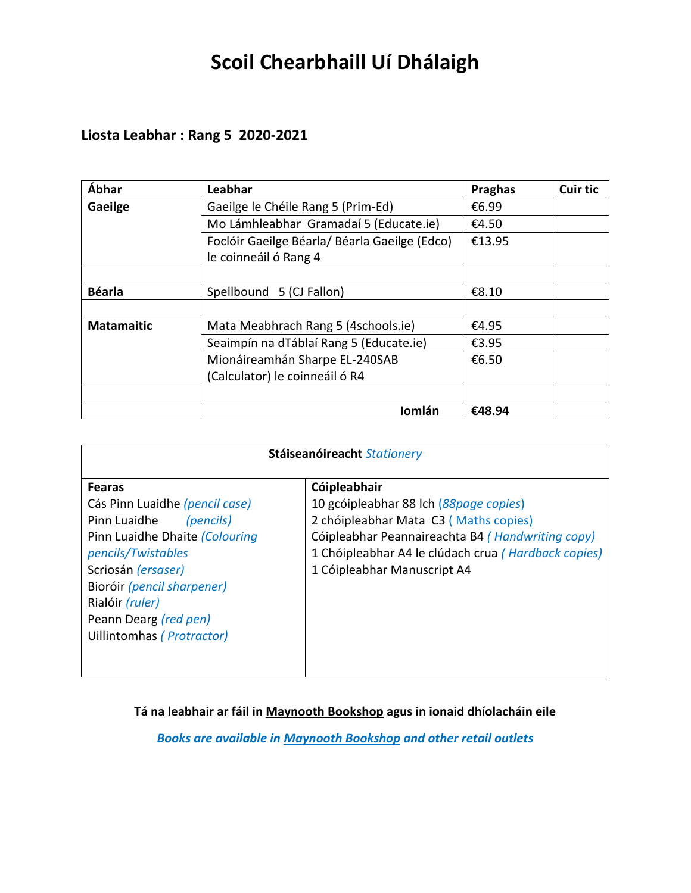# **Scoil Chearbhaill Uí Dhálaigh**

## **Liosta Leabhar : Rang 5 2020-2021**

| Ábhar             | Leabhar                                       | <b>Praghas</b> | <b>Cuir tic</b> |
|-------------------|-----------------------------------------------|----------------|-----------------|
| Gaeilge           | Gaeilge le Chéile Rang 5 (Prim-Ed)            | €6.99          |                 |
|                   | Mo Lámhleabhar Gramadaí 5 (Educate.ie)        | €4.50          |                 |
|                   | Foclóir Gaeilge Béarla/ Béarla Gaeilge (Edco) | €13.95         |                 |
|                   | le coinneáil ó Rang 4                         |                |                 |
|                   |                                               |                |                 |
| <b>Béarla</b>     | Spellbound 5 (CJ Fallon)                      | €8.10          |                 |
|                   |                                               |                |                 |
| <b>Matamaitic</b> | Mata Meabhrach Rang 5 (4schools.ie)           | €4.95          |                 |
|                   | Seaimpín na dTáblaí Rang 5 (Educate.ie)       | €3.95          |                 |
|                   | Mionáireamhán Sharpe EL-240SAB                | €6.50          |                 |
|                   | (Calculator) le coinneáil ó R4                |                |                 |
|                   |                                               |                |                 |
|                   | Iomlán                                        | €48.94         |                 |

| Stáiseanóireacht Stationery                                                                                                                                                                                                                                       |                                                                                                                                                                                                                                           |  |
|-------------------------------------------------------------------------------------------------------------------------------------------------------------------------------------------------------------------------------------------------------------------|-------------------------------------------------------------------------------------------------------------------------------------------------------------------------------------------------------------------------------------------|--|
| <b>Fearas</b><br>Cás Pinn Luaidhe (pencil case)<br>Pinn Luaidhe<br>(pencils)<br>Pinn Luaidhe Dhaite (Colouring<br>pencils/Twistables<br>Scriosán (ersaser)<br>Bioróir (pencil sharpener)<br>Rialóir (ruler)<br>Peann Dearg (red pen)<br>Uillintomhas (Protractor) | Cóipleabhair<br>10 gcóipleabhar 88 lch (88page copies)<br>2 chóipleabhar Mata C3 (Maths copies)<br>Cóipleabhar Peannaireachta B4 (Handwriting copy)<br>1 Chóipleabhar A4 le clúdach crua (Hardback copies)<br>1 Cóipleabhar Manuscript A4 |  |

**Tá na leabhair ar fáil in Maynooth Bookshop agus in ionaid dhíolacháin eile**

*Books are available in Maynooth Bookshop and other retail outlets*